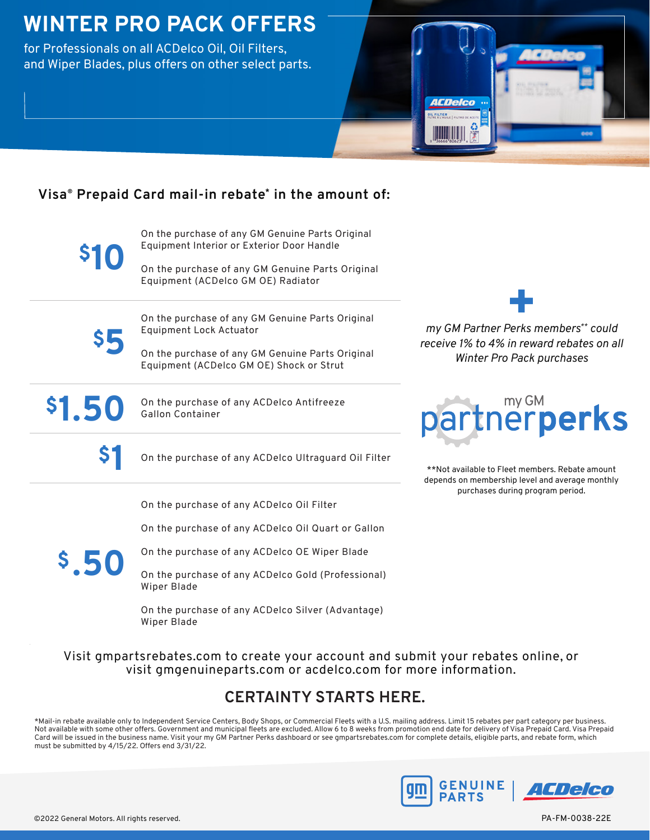# **WINTER PRO PACK OFFERS**

for Professionals on all ACDelco Oil, Oil Filters, and Wiper Blades, plus offers on other select parts.



### **Visa® Prepaid Card mail-in rebate\* in the amount of:**

**\$10**

On the purchase of any GM Genuine Parts Original Equipment Interior or Exterior Door Handle

On the purchase of any GM Genuine Parts Original Equipment (ACDelco GM OE) Radiator



On the purchase of any GM Genuine Parts Original Equipment Lock Actuator

On the purchase of any GM Genuine Parts Original Equipment (ACDelco GM OE) Shock or Strut



**\$1.50** On the purchase of any ACDelco Antifreeze Gallon Container

**\$1** On the purchase of any ACDelco Ultraguard Oil Filter

On the purchase of any ACDelco Oil Filter

On the purchase of any ACDelco Oil Quart or Gallon

**\$.50**

On the purchase of any ACDelco OE Wiper Blade

On the purchase of any ACDelco Gold (Professional) Wiper Blade

On the purchase of any ACDelco Silver (Advantage) Wiper Blade

*my GM Partner Perks members\*\* could* 

*receive 1% to 4% in reward rebates on all Winter Pro Pack purchases*



\*\*Not available to Fleet members. Rebate amount depends on membership level and average monthly purchases during program period.

Visit gmpartsrebates.com to create your account and submit your rebates online, or visit gmgenuineparts.com or acdelco.com for more information.

## **CERTAINTY STARTS HERE.**

\*Mail-in rebate available only to Independent Service Centers, Body Shops, or Commercial Fleets with a U.S. mailing address. Limit 15 rebates per part category per business. Not available with some other offers. Government and municipal fleets are excluded. Allow 6 to 8 weeks from promotion end date for delivery of Visa Prepaid Card. Visa Prepaid Card will be issued in the business name. Visit your my GM Partner Perks dashboard or see gmpartsrebates.com for complete details, eligible parts, and rebate form, which must be submitted by 4/15/22. Offers end 3/31/22.